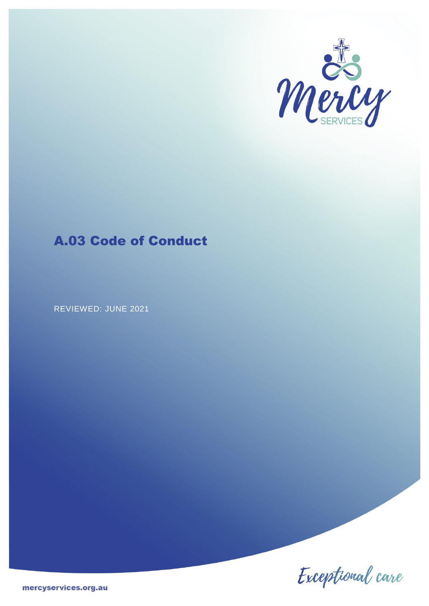

# A.03 Code of Conduct

REVIEWED: JUNE 2021

Exceptional care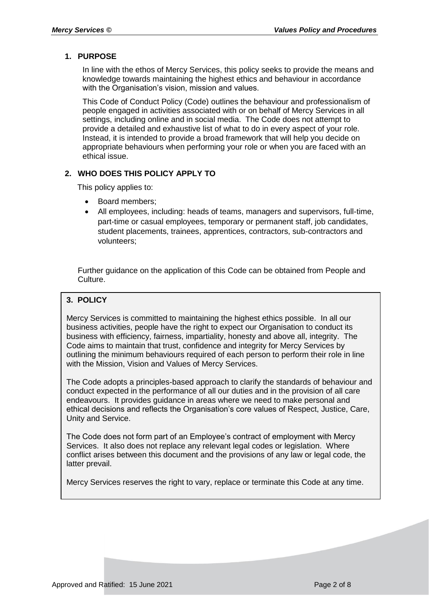# **1. PURPOSE**

In line with the ethos of Mercy Services, this policy seeks to provide the means and knowledge towards maintaining the highest ethics and behaviour in accordance with the Organisation's vision, mission and values.

This Code of Conduct Policy (Code) outlines the behaviour and professionalism of people engaged in activities associated with or on behalf of Mercy Services in all settings, including online and in social media. The Code does not attempt to provide a detailed and exhaustive list of what to do in every aspect of your role. Instead, it is intended to provide a broad framework that will help you decide on appropriate behaviours when performing your role or when you are faced with an ethical issue.

# **2. WHO DOES THIS POLICY APPLY TO**

This policy applies to:

- Board members;
- All employees, including: heads of teams, managers and supervisors, full-time, part-time or casual employees, temporary or permanent staff, job candidates, student placements, trainees, apprentices, contractors, sub-contractors and volunteers;

Further guidance on the application of this Code can be obtained from People and Culture.

# **3. POLICY**

Mercy Services is committed to maintaining the highest ethics possible. In all our business activities, people have the right to expect our Organisation to conduct its business with efficiency, fairness, impartiality, honesty and above all, integrity. The Code aims to maintain that trust, confidence and integrity for Mercy Services by outlining the minimum behaviours required of each person to perform their role in line with the Mission, Vision and Values of Mercy Services.

The Code adopts a principles-based approach to clarify the standards of behaviour and conduct expected in the performance of all our duties and in the provision of all care endeavours. It provides guidance in areas where we need to make personal and ethical decisions and reflects the Organisation's core values of Respect, Justice, Care, Unity and Service.

The Code does not form part of an Employee's contract of employment with Mercy Services. It also does not replace any relevant legal codes or legislation. Where conflict arises between this document and the provisions of any law or legal code, the latter prevail.

Mercy Services reserves the right to vary, replace or terminate this Code at any time.

Breaches or non-compliance with this policy may result in disciplinary action.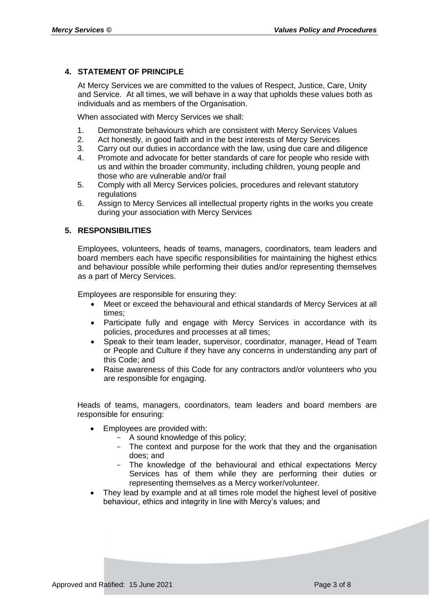# **4. STATEMENT OF PRINCIPLE**

At Mercy Services we are committed to the values of Respect, Justice, Care, Unity and Service. At all times, we will behave in a way that upholds these values both as individuals and as members of the Organisation.

When associated with Mercy Services we shall:

- 1. Demonstrate behaviours which are consistent with Mercy Services Values
- 2. Act honestly, in good faith and in the best interests of Mercy Services
- 3. Carry out our duties in accordance with the law, using due care and diligence
- 4. Promote and advocate for better standards of care for people who reside with us and within the broader community, including children, young people and those who are vulnerable and/or frail
- 5. Comply with all Mercy Services policies, procedures and relevant statutory regulations
- 6. Assign to Mercy Services all intellectual property rights in the works you create during your association with Mercy Services

# **5. RESPONSIBILITIES**

Employees, volunteers, heads of teams, managers, coordinators, team leaders and board members each have specific responsibilities for maintaining the highest ethics and behaviour possible while performing their duties and/or representing themselves as a part of Mercy Services.

Employees are responsible for ensuring they:

- Meet or exceed the behavioural and ethical standards of Mercy Services at all times;
- Participate fully and engage with Mercy Services in accordance with its policies, procedures and processes at all times;
- Speak to their team leader, supervisor, coordinator, manager, Head of Team or People and Culture if they have any concerns in understanding any part of this Code; and
- Raise awareness of this Code for any contractors and/or volunteers who you are responsible for engaging.

Heads of teams, managers, coordinators, team leaders and board members are responsible for ensuring:

- Employees are provided with:
	- A sound knowledge of this policy;
	- The context and purpose for the work that they and the organisation does; and
	- The knowledge of the behavioural and ethical expectations Mercy Services has of them while they are performing their duties or representing themselves as a Mercy worker/volunteer.
- They lead by example and at all times role model the highest level of positive behaviour, ethics and integrity in line with Mercy's values; and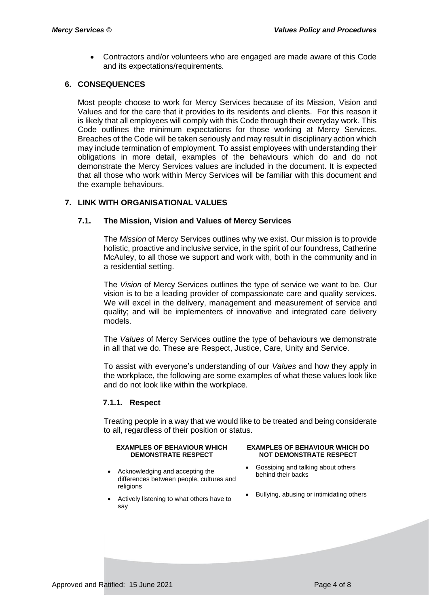Contractors and/or volunteers who are engaged are made aware of this Code and its expectations/requirements.

# **6. CONSEQUENCES**

Most people choose to work for Mercy Services because of its Mission, Vision and Values and for the care that it provides to its residents and clients. For this reason it is likely that all employees will comply with this Code through their everyday work. This Code outlines the minimum expectations for those working at Mercy Services. Breaches of the Code will be taken seriously and may result in disciplinary action which may include termination of employment. To assist employees with understanding their obligations in more detail, examples of the behaviours which do and do not demonstrate the Mercy Services values are included in the document. It is expected that all those who work within Mercy Services will be familiar with this document and the example behaviours.

# **7. LINK WITH ORGANISATIONAL VALUES**

# **7.1. The Mission, Vision and Values of Mercy Services**

The *Mission* of Mercy Services outlines why we exist. Our mission is to provide holistic, proactive and inclusive service, in the spirit of our foundress, Catherine McAuley, to all those we support and work with, both in the community and in a residential setting.

The *Vision* of Mercy Services outlines the type of service we want to be. Our vision is to be a leading provider of compassionate care and quality services. We will excel in the delivery, management and measurement of service and quality; and will be implementers of innovative and integrated care delivery models.

The *Values* of Mercy Services outline the type of behaviours we demonstrate in all that we do. These are Respect, Justice, Care, Unity and Service.

To assist with everyone's understanding of our *Values* and how they apply in the workplace, the following are some examples of what these values look like and do not look like within the workplace.

### **7.1.1. Respect**

Treating people in a way that we would like to be treated and being considerate to all, regardless of their position or status.

#### **EXAMPLES OF BEHAVIOUR WHICH DEMONSTRATE RESPECT**

- Acknowledging and accepting the differences between people, cultures and religions
- Actively listening to what others have to say

#### **EXAMPLES OF BEHAVIOUR WHICH DO NOT DEMONSTRATE RESPECT**

- Gossiping and talking about others behind their backs
- Bullying, abusing or intimidating others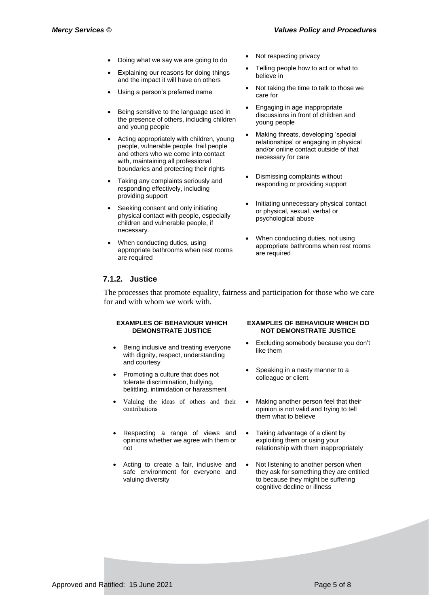- Doing what we say we are going to do **Warehorth Warehouse** Not respecting privacy
- Explaining our reasons for doing things and the impact it will have on others
- 
- Being sensitive to the language used in the presence of others, including children and young people
- Acting appropriately with children, young people, vulnerable people, frail people and others who we come into contact with, maintaining all professional boundaries and protecting their rights
- Taking any complaints seriously and responding effectively, including providing support
- Seeking consent and only initiating physical contact with people, especially children and vulnerable people, if necessary.
- When conducting duties, using appropriate bathrooms when rest rooms are required
- 
- Telling people how to act or what to believe in
- Using a person's preferred name  $\overline{\phantom{a}}$  Not taking the time to talk to those we care for
	- Engaging in age inappropriate discussions in front of children and young people
	- Making threats, developing 'special relationships' or engaging in physical and/or online contact outside of that necessary for care
	- Dismissing complaints without responding or providing support
	- Initiating unnecessary physical contact or physical, sexual, verbal or psychological abuse
	- When conducting duties, not using appropriate bathrooms when rest rooms are required

### **7.1.2. Justice**

The processes that promote equality, fairness and participation for those who we care for and with whom we work with.

#### **EXAMPLES OF BEHAVIOUR WHICH DEMONSTRATE JUSTICE**

- Being inclusive and treating everyone with dignity, respect, understanding and courtesy
- Promoting a culture that does not tolerate discrimination, bullying, belittling, intimidation or harassment
- Valuing the ideas of others and their contributions
- Respecting a range of views and opinions whether we agree with them or not
- Acting to create a fair, inclusive and safe environment for everyone and valuing diversity

#### **EXAMPLES OF BEHAVIOUR WHICH DO NOT DEMONSTRATE JUSTICE**

- Excluding somebody because you don't like them
- Speaking in a nasty manner to a colleague or client.
- Making another person feel that their opinion is not valid and trying to tell them what to believe
- Taking advantage of a client by exploiting them or using your relationship with them inappropriately
- Not listening to another person when they ask for something they are entitled to because they might be suffering cognitive decline or illness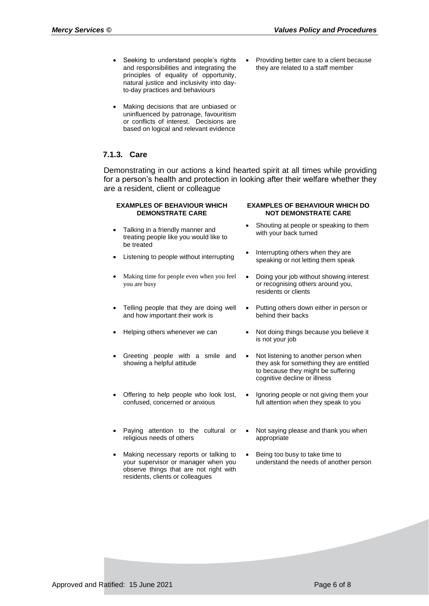Providing better care to a client because they are related to a staff member

- Seeking to understand people's rights and responsibilities and integrating the principles of equality of opportunity, natural justice and inclusivity into dayto-day practices and behaviours
- Making decisions that are unbiased or uninfluenced by patronage, favouritism or conflicts of interest. Decisions are based on logical and relevant evidence

# **7.1.3. Care**

Demonstrating in our actions a kind hearted spirit at all times while providing for a person's health and protection in looking after their welfare whether they are a resident, client or colleague

#### **EXAMPLES OF BEHAVIOUR WHICH DEMONSTRATE CARE**

- Talking in a friendly manner and treating people like you would like to be treated
- 
- Making time for people even when you feel you are busy
- Telling people that they are doing well and how important their work is
- 
- Greeting people with a smile and showing a helpful attitude
- Offering to help people who look lost, confused, concerned or anxious
- Paying attention to the cultural or religious needs of others
- Making necessary reports or talking to your supervisor or manager when you observe things that are not right with residents, clients or colleagues

#### **EXAMPLES OF BEHAVIOUR WHICH DO NOT DEMONSTRATE CARE**

- Shouting at people or speaking to them with your back turned
- Listening to people without interrupting <br> **Interrupting others when they are left in the moned interrupting of the specific of the specific structure** speaking or not letting them speak
	- Doing your job without showing interest or recognising others around you, residents or clients
	- Putting others down either in person or behind their backs
- Helping others whenever we can Not doing things because you believe it is not your job
	- Not listening to another person when they ask for something they are entitled to because they might be suffering cognitive decline or illness
	- Ignoring people or not giving them your full attention when they speak to you
	- Not saying please and thank you when appropriate
	- Being too busy to take time to understand the needs of another person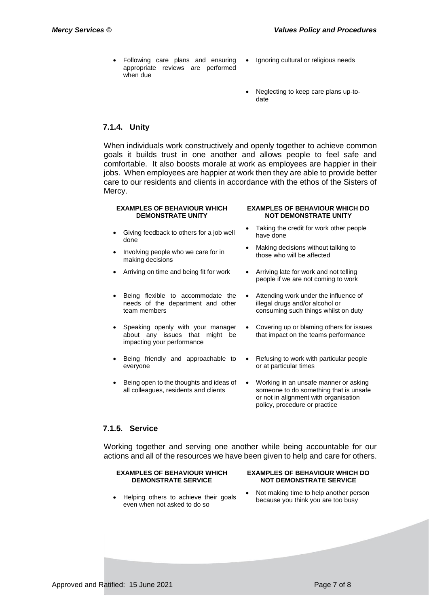- Following care plans and ensuring appropriate reviews are performed when due
- Ignoring cultural or religious needs
- Neglecting to keep care plans up-todate

# **7.1.4. Unity**

When individuals work constructively and openly together to achieve common goals it builds trust in one another and allows people to feel safe and comfortable. It also boosts morale at work as employees are happier in their jobs. When employees are happier at work then they are able to provide better care to our residents and clients in accordance with the ethos of the Sisters of Mercy.

#### **EXAMPLES OF BEHAVIOUR WHICH DEMONSTRATE UNITY**

- Giving feedback to others for a job well done
- Involving people who we care for in making decisions
- 
- Being flexible to accommodate the needs of the department and other team members
- Speaking openly with your manager about any issues that might be impacting your performance
- Being friendly and approachable to everyone
- Being open to the thoughts and ideas of all colleagues, residents and clients

#### **EXAMPLES OF BEHAVIOUR WHICH DO NOT DEMONSTRATE UNITY**

- Taking the credit for work other people have done
- Making decisions without talking to those who will be affected
- Arriving on time and being fit for work Arriving late for work and not telling people if we are not coming to work
	- Attending work under the influence of illegal drugs and/or alcohol or consuming such things whilst on duty
	- Covering up or blaming others for issues that impact on the teams performance
	- Refusing to work with particular people or at particular times
	- Working in an unsafe manner or asking someone to do something that is unsafe or not in alignment with organisation policy, procedure or practice

### **7.1.5. Service**

Working together and serving one another while being accountable for our actions and all of the resources we have been given to help and care for others.

#### **EXAMPLES OF BEHAVIOUR WHICH DEMONSTRATE SERVICE**

- **NOT DEMONSTRATE SERVICE**
- Helping others to achieve their goals even when not asked to do so
- Not making time to help another person because you think you are too busy

**EXAMPLES OF BEHAVIOUR WHICH DO**